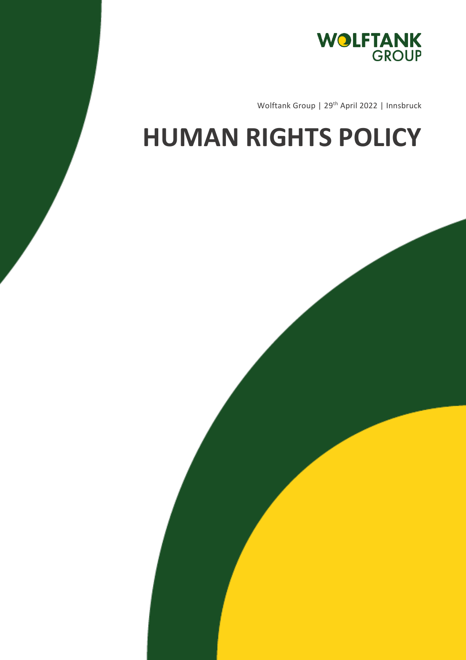

Wolftank Group | 29<sup>th</sup> April 2022 | Innsbruck

## **HUMAN RIGHTS POLICY**